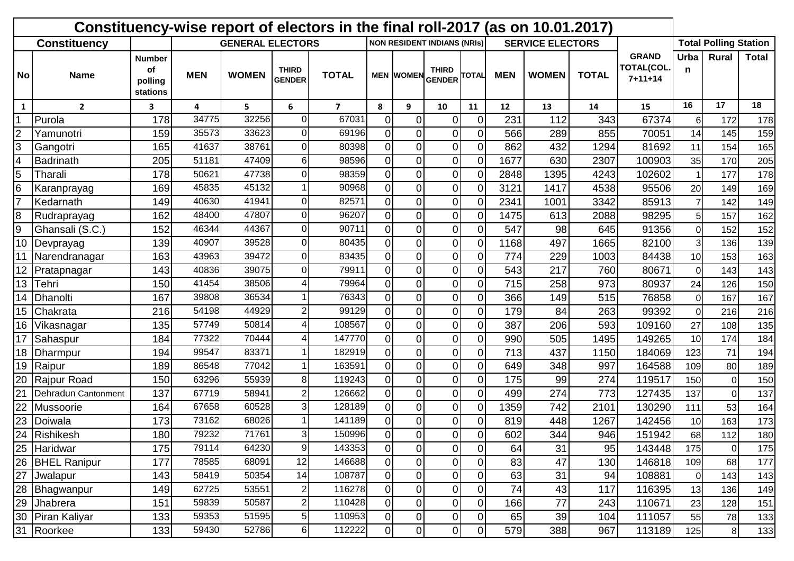| Constituency-wise report of electors in the final roll-2017 (as on 10.01.2017) |                     |                                            |                         |              |                               |                |                |                  |                                    |                |            |                         |              |                                             |                |                              |              |
|--------------------------------------------------------------------------------|---------------------|--------------------------------------------|-------------------------|--------------|-------------------------------|----------------|----------------|------------------|------------------------------------|----------------|------------|-------------------------|--------------|---------------------------------------------|----------------|------------------------------|--------------|
| <b>Constituency</b>                                                            |                     |                                            | <b>GENERAL ELECTORS</b> |              |                               |                |                |                  | <b>NON RESIDENT INDIANS (NRIS)</b> |                |            | <b>SERVICE ELECTORS</b> |              |                                             |                | <b>Total Polling Station</b> |              |
| No                                                                             | <b>Name</b>         | <b>Number</b><br>οf<br>polling<br>stations | <b>MEN</b>              | <b>WOMEN</b> | <b>THIRD</b><br><b>GENDER</b> | <b>TOTAL</b>   |                | <b>MEN WOMEN</b> | <b>THIRD</b><br><b>GENDER</b>      | <b>TOTAL</b>   | <b>MEN</b> | <b>WOMEN</b>            | <b>TOTAL</b> | <b>GRAND</b><br>TOTAL(COL.<br>$7 + 11 + 14$ | Urba<br>n      | Rural                        | <b>Total</b> |
| 1                                                                              | $\overline{2}$      | 3                                          | 4                       | 5.           | 6                             | $\overline{ }$ | 8              | 9                | 10                                 | 11             | 12         | 13                      | 14           | 15                                          | 16             | 17                           | 18           |
|                                                                                | Purola              | 178                                        | 34775                   | 32256        | $\Omega$                      | 67031          | $\Omega$       | $\Omega$         | 0                                  | 0I             | 231        | 112                     | 343          | 67374                                       | 6              | 172                          | 178          |
| $\overline{2}$                                                                 | Yamunotri           | 159                                        | 35573                   | 33623        | $\overline{0}$                | 69196          | 0              | 0                | 0                                  | $\overline{0}$ | 566        | 289                     | 855          | 70051                                       | 14             | 145                          | 159          |
| 3                                                                              | Gangotri            | 165                                        | 41637                   | 38761        | $\overline{0}$                | 80398          | $\Omega$       | 0                | $\overline{0}$                     | $\overline{0}$ | 862        | 432                     | 1294         | 81692                                       | 11             | 154                          | 165          |
| $\overline{4}$                                                                 | Badrinath           | 205                                        | 51181                   | 47409        | 6                             | 98596          | $\Omega$       | $\Omega$         | 0                                  | $\overline{0}$ | 1677       | 630                     | 2307         | 100903                                      | 35             | 170                          | 205          |
| 5                                                                              | Tharali             | 178                                        | 50621                   | 47738        | $\overline{0}$                | 98359          | $\Omega$       | 0                | $\overline{0}$                     | $\overline{0}$ | 2848       | 1395                    | 4243         | 102602                                      |                | 177                          | 178          |
| 6                                                                              | Karanprayag         | 169                                        | 45835                   | 45132        |                               | 90968          | $\Omega$       | 0                | 0                                  | $\Omega$       | 3121       | 1417                    | 4538         | 95506                                       | 20             | 149                          | 169          |
| $\overline{7}$                                                                 | Kedarnath           | 149                                        | 40630                   | 41941        | $\overline{0}$                | 82571          | $\Omega$       | 0                | 0                                  | $\Omega$       | 2341       | 1001                    | 3342         | 85913                                       | $\overline{7}$ | 142                          | 149          |
| 8                                                                              | Rudraprayag         | 162                                        | 48400                   | 47807        | $\overline{0}$                | 96207          | $\Omega$       | 0                | $\overline{0}$                     | $\Omega$       | 1475       | 613                     | 2088         | 98295                                       | 5              | 157                          | 162          |
| 9                                                                              | Ghansali (S.C.)     | 152                                        | 46344                   | 44367        | $\overline{0}$                | 90711          | $\Omega$       | 0                | 0                                  | $\Omega$       | 547        | 98                      | 645          | 91356                                       | $\mathbf 0$    | 152                          | 152          |
| 10                                                                             | Devprayag           | 139                                        | 40907                   | 39528        | $\overline{0}$                | 80435          | 0              | 0                | $\overline{0}$                     | $\Omega$       | 1168       | 497                     | 1665         | 82100                                       | 3              | 136                          | 139          |
|                                                                                | Narendranagar       | 163                                        | 43963                   | 39472        | $\Omega$                      | 83435          | $\Omega$       | 0                | 0                                  | ΩI             | 774        | 229                     | 1003         | 84438                                       | 10             | 153                          | 163          |
| 12                                                                             | Pratapnagar         | 143                                        | 40836                   | 39075        | $\Omega$                      | 79911          | $\Omega$       | 0                | 0                                  | $\overline{0}$ | 543        | 217                     | 760          | 80671                                       | $\mathbf 0$    | 143                          | 143          |
| 13                                                                             | Tehri               | 150                                        | 41454                   | 38506        | 4                             | 79964          | $\Omega$       | $\Omega$         | 0                                  | Οl             | 715        | 258                     | 973          | 80937                                       | 24             | 126                          | 150          |
| 14                                                                             | Dhanolti            | 167                                        | 39808                   | 36534        |                               | 76343          | $\Omega$       | $\Omega$         | 0                                  | $\overline{0}$ | 366        | 149                     | 515          | 76858                                       | $\Omega$       | 167                          | 167          |
| 15                                                                             | Chakrata            | 216                                        | 54198                   | 44929        | $\overline{c}$                | 99129          | $\Omega$       | 0                | 0                                  | $\overline{0}$ | 179        | 84                      | 263          | 99392                                       | $\Omega$       | 216                          | 216          |
| 16                                                                             | Vikasnagar          | 135                                        | 57749                   | 50814        | 4                             | 108567         | $\Omega$       | 0                | 0                                  | $\overline{0}$ | 387        | 206                     | 593          | 109160                                      | 27             | 108                          | 135          |
| 17                                                                             | Sahaspur            | 184                                        | 77322                   | 70444        | 4                             | 147770         | $\Omega$       | 0                | 0                                  | $\overline{0}$ | 990        | 505                     | 1495         | 149265                                      | 10             | 174                          | 184          |
| 18                                                                             | Dharmpur            | 194                                        | 99547                   | 83371        |                               | 182919         | $\Omega$       | 0                | 0                                  | $\overline{0}$ | 713        | 437                     | 1150         | 184069                                      | 123            | 71                           | 194          |
| 19                                                                             | Raipur              | 189                                        | 86548                   | 77042        |                               | 163591         | $\Omega$       | 0                | 0                                  | Οl             | 649        | 348                     | 997          | 164588                                      | 109            | 80                           | 189          |
| 20                                                                             | Rajpur Road         | 150                                        | 63296                   | 55939        | 8                             | 119243         | $\Omega$       | 0                | 0                                  | $\Omega$       | 175        | 99                      | 274          | 119517                                      | 150            | $\Omega$                     | 150          |
| 21                                                                             | Dehradun Cantonment | 137                                        | 67719                   | 58941        | $\mathbf{2}$                  | 126662         | 0              | 0                | 0                                  | $\overline{0}$ | 499        | 274                     | 773          | 127435                                      | 137            | $\mathbf 0$                  | 137          |
| 22                                                                             | Mussoorie           | 164                                        | 67658                   | 60528        | 3                             | 128189         | $\overline{0}$ | 0                | $\overline{0}$                     | Οl             | 1359       | 742                     | 2101         | 130290                                      | 111            | 53                           | 164          |
| 23                                                                             | Doiwala             | 173                                        | 73162                   | 68026        |                               | 141189         | ΩI             | 0                | 0                                  | $\Omega$       | 819        | 448                     | 1267         | 142456                                      | 10             | 163                          | 173          |
| 24                                                                             | Rishikesh           | 180                                        | 79232                   | 71761        | 3                             | 150996         | ΩI             | $\Omega$         | $\overline{0}$                     | ΩI             | 602        | 344                     | 946          | 151942                                      | 68             | 112                          | 180          |
| 25                                                                             | Haridwar            | 175                                        | 79114                   | 64230        | $\overline{9}$                | 143353         | $\overline{0}$ | $\overline{0}$   | $\overline{0}$                     | $\overline{0}$ | 64         | 31                      | 95           | 143448                                      | 175            | $\boldsymbol{0}$             | 175          |
| 26                                                                             | <b>BHEL Ranipur</b> | 177                                        | 78585                   | 68091        | 12                            | 146688         | $\overline{0}$ | 0                | $\overline{0}$                     | $\overline{0}$ | 83         | 47                      | 130          | 146818                                      | 109            | 68                           | 177          |
| $\overline{27}$                                                                | <b>Jwalapur</b>     | 143                                        | 58419                   | 50354        | 14                            | 108787         | $\overline{0}$ | $\overline{0}$   | $\overline{0}$                     | $\overline{0}$ | 63         | $\overline{31}$         | 94           | 108881                                      | $\overline{0}$ | 143                          | 143          |
| 28                                                                             | Bhagwanpur          | 149                                        | 62725                   | 53551        | $\overline{2}$                | 116278         | $\overline{0}$ | $\pmb{0}$        | $\overline{0}$                     | $\overline{0}$ | 74         | 43                      | 117          | 116395                                      | 13             | 136                          | 149          |
| 29                                                                             | Jhabrera            | 151                                        | 59839                   | 50587        | $\mathbf{2}$                  | 110428         | $\overline{0}$ | 0                | 0                                  | $\overline{0}$ | 166        | 77                      | 243          | 110671                                      | 23             | 128                          | 151          |
|                                                                                | 30 Piran Kaliyar    | 133                                        | 59353                   | 51595        | 5 <sup>1</sup>                | 110953         | $\overline{0}$ | $\overline{0}$   | $\overline{0}$                     | $\overline{0}$ | 65         | 39                      | 104          | 111057                                      | 55             | 78                           | 133          |
|                                                                                | 31 Roorkee          | 133                                        | 59430                   | 52786        | $6 \,$                        | 112222         | $\overline{0}$ | $\overline{O}$   | $\overline{0}$                     | $\overline{0}$ | 579        | 388                     | 967          | 113189                                      | 125            | 8                            | 133          |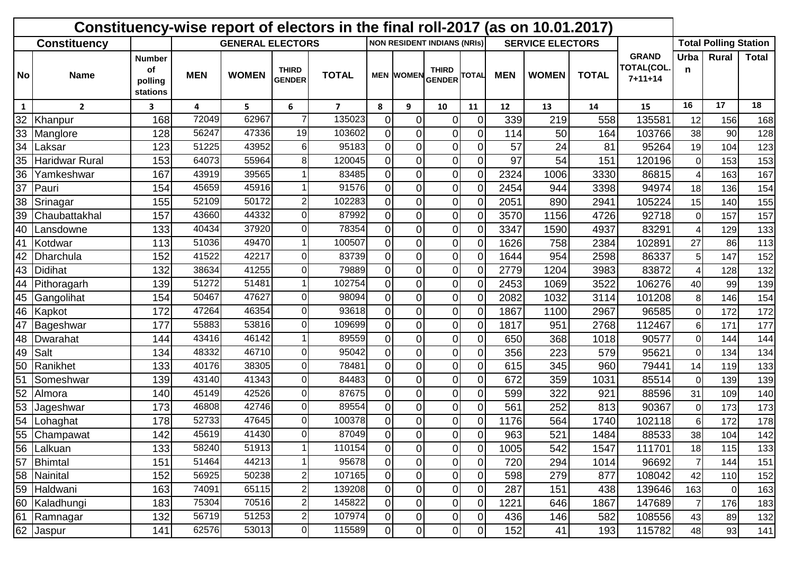| Constituency-wise report of electors in the final roll-2017 (as on 10.01.2017) |                       |                                            |                         |              |                               |                |                |                  |                                    |                |                   |                         |              |                                             |                          |                              |       |
|--------------------------------------------------------------------------------|-----------------------|--------------------------------------------|-------------------------|--------------|-------------------------------|----------------|----------------|------------------|------------------------------------|----------------|-------------------|-------------------------|--------------|---------------------------------------------|--------------------------|------------------------------|-------|
| <b>Constituency</b>                                                            |                       |                                            | <b>GENERAL ELECTORS</b> |              |                               |                |                |                  | <b>NON RESIDENT INDIANS (NRIS)</b> |                |                   | <b>SERVICE ELECTORS</b> |              |                                             |                          | <b>Total Polling Station</b> |       |
| No                                                                             | <b>Name</b>           | <b>Number</b><br>οf<br>polling<br>stations | <b>MEN</b>              | <b>WOMEN</b> | <b>THIRD</b><br><b>GENDER</b> | <b>TOTAL</b>   |                | <b>MEN WOMEN</b> | <b>THIRD</b><br><b>GENDER</b>      | <b>TOTAL</b>   | <b>MEN</b>        | <b>WOMEN</b>            | <b>TOTAL</b> | <b>GRAND</b><br>TOTAL(COL.<br>$7 + 11 + 14$ | Urba<br>n                | Rural                        | Total |
| 1                                                                              | $\overline{2}$        | 3                                          | 4                       | 5.           | 6                             | $\overline{7}$ | 8              | 9                | 10                                 | 11             | $12 \overline{ }$ | 13                      | 14           | 15                                          | 16                       | 17                           | 18    |
| 32                                                                             | Khanpur               | 168                                        | 72049                   | 62967        |                               | 135023         | $\Omega$       | $\Omega$         | 0                                  | $\Omega$       | 339               | 219                     | 558          | 135581                                      | 12                       | 156                          | 168   |
| 33                                                                             | Manglore              | 128                                        | 56247                   | 47336        | 19                            | 103602         | $\overline{0}$ | $\Omega$         | 0                                  | $\overline{0}$ | 114               | 50                      | 164          | 103766                                      | 38                       | 90                           | 128   |
| 34                                                                             | Laksar                | 123                                        | 51225                   | 43952        | $6 \,$                        | 95183          | $\Omega$       | 0                | $\overline{0}$                     | $\overline{0}$ | 57                | 24                      | 81           | 95264                                       | 19                       | 104                          | 123   |
| 35                                                                             | <b>Haridwar Rural</b> | 153                                        | 64073                   | 55964        | 8                             | 120045         | $\Omega$       | $\Omega$         | 0                                  | $\overline{0}$ | 97                | 54                      | 151          | 120196                                      | $\Omega$                 | 153                          | 153   |
| 36                                                                             | Yamkeshwar            | 167                                        | 43919                   | 39565        |                               | 83485          | $\Omega$       | 0                | $\overline{0}$                     | $\overline{0}$ | 2324              | 1006                    | 3330         | 86815                                       | Δ                        | 163                          | 167   |
| 37                                                                             | Pauri                 | 154                                        | 45659                   | 45916        |                               | 91576          | $\Omega$       | 0                | 0                                  | $\Omega$       | 2454              | 944                     | 3398         | 94974                                       | 18                       | 136                          | 154   |
| 38                                                                             | Srinagar              | 155                                        | 52109                   | 50172        | $\overline{c}$                | 102283         | $\Omega$       | 0                | 0                                  | $\Omega$       | 2051              | 890                     | 2941         | 105224                                      | 15                       | 140                          | 155   |
| 39                                                                             | Chaubattakhal         | 157                                        | 43660                   | 44332        | $\overline{0}$                | 87992          | $\Omega$       | 0                | $\overline{0}$                     | $\Omega$       | 3570              | 1156                    | 4726         | 92718                                       | $\Omega$                 | 157                          | 157   |
| 40                                                                             | Lansdowne             | 133                                        | 40434                   | 37920        | $\overline{0}$                | 78354          | $\Omega$       | $\Omega$         | 0                                  | $\Omega$       | 3347              | 1590                    | 4937         | 83291                                       | $\boldsymbol{\varDelta}$ | 129                          | 133   |
| 41                                                                             | Kotdwar               | 113                                        | 51036                   | 49470        |                               | 100507         | ΩI             | 0                | $\overline{0}$                     | $\Omega$       | 1626              | 758                     | 2384         | 102891                                      | 27                       | 86                           | 113   |
| 42                                                                             | Dharchula             | 152                                        | 41522                   | 42217        | $\Omega$                      | 83739          | ΩI             | 0                | 0                                  | $\Omega$       | 1644              | 954                     | 2598         | 86337                                       | 5                        | 147                          | 152   |
| 43                                                                             | <b>Didihat</b>        | 132                                        | 38634                   | 41255        | $\Omega$                      | 79889          | $\Omega$       | 0                | 0                                  | $\overline{0}$ | 2779              | 1204                    | 3983         | 83872                                       | $\overline{4}$           | 128                          | 132   |
| 44                                                                             | Pithoragarh           | 139                                        | 51272                   | 51481        |                               | 102754         | $\Omega$       | $\Omega$         | 0                                  | $\Omega$       | 2453              | 1069                    | 3522         | 106276                                      | 40                       | 99                           | 139   |
| 45                                                                             | Gangolihat            | 154                                        | 50467                   | 47627        | $\Omega$                      | 98094          | 0              | $\Omega$         | 0                                  | $\Omega$       | 2082              | 1032                    | 3114         | 101208                                      | 8                        | 146                          | 154   |
| 46                                                                             | Kapkot                | 172                                        | 47264                   | 46354        | $\overline{0}$                | 93618          | $\Omega$       | $\Omega$         | $\overline{0}$                     | $\Omega$       | 1867              | 1100                    | 2967         | 96585                                       | $\Omega$                 | 172                          | 172   |
| 47                                                                             | Bageshwar             | 177                                        | 55883                   | 53816        | $\Omega$                      | 109699         | $\Omega$       | 0                | 0                                  | $\Omega$       | 1817              | 951                     | 2768         | 112467                                      | 6                        | 171                          | 177   |
| 48                                                                             | Dwarahat              | 144                                        | 43416                   | 46142        |                               | 89559          | $\Omega$       | 0                | $\overline{0}$                     | $\overline{0}$ | 650               | 368                     | 1018         | 90577                                       | $\overline{0}$           | 144                          | 144   |
| 49                                                                             | Salt                  | 134                                        | 48332                   | 46710        | $\Omega$                      | 95042          | $\Omega$       | 0                | 0                                  | $\overline{0}$ | 356               | 223                     | 579          | 95621                                       | $\Omega$                 | 134                          | 134   |
| 50                                                                             | Ranikhet              | 133                                        | 40176                   | 38305        | $\overline{0}$                | 78481          | $\Omega$       | 0                | 0                                  | 0l             | 615               | 345                     | 960          | 79441                                       | 14                       | 119                          | 133   |
| 5 <sup>′</sup>                                                                 | Someshwar             | 139                                        | 43140                   | 41343        | $\Omega$                      | 84483          | $\Omega$       | 0                | 0                                  | $\Omega$       | 672               | 359                     | 1031         | 85514                                       | $\Omega$                 | 139                          | 139   |
| 52                                                                             | Almora                | 140                                        | 45149                   | 42526        | $\overline{0}$                | 87675          | 0              | 0                | 0                                  | $\overline{0}$ | 599               | 322                     | 921          | 88596                                       | 31                       | 109                          | 140   |
| 53                                                                             | Jageshwar             | 173                                        | 46808                   | 42746        | $\overline{0}$                | 89554          | $\overline{0}$ | 0                | $\overline{0}$                     | Οl             | 561               | 252                     | 813          | 90367                                       | 0                        | 173                          | 173   |
| 54                                                                             | Lohaghat              | 178                                        | 52733                   | 47645        | $\overline{0}$                | 100378         | ΩI             | 0                | 0                                  | $\Omega$       | 1176              | 564                     | 1740         | 102118                                      | 6                        | 172                          | 178   |
|                                                                                | 55 Champawat          | 142                                        | 45619                   | 41430        | $\Omega$                      | 87049          | ΩI             | $\Omega$         | $\overline{0}$                     | ΩI             | 963               | 521                     | 1484         | 88533                                       | 38                       | 104                          | 142   |
| 56                                                                             | Lalkuan               | 133                                        | 58240                   | 51913        |                               | 110154         | $\overline{0}$ | $\overline{0}$   | $\overline{0}$                     | $\overline{0}$ | 1005              | 542                     | 1547         | 111701                                      | 18                       | 115                          | 133   |
| 57                                                                             | Bhimtal               | 151                                        | 51464                   | 44213        |                               | 95678          | $\overline{0}$ | 0                | $\overline{0}$                     | $\overline{0}$ | 720               | 294                     | 1014         | 96692                                       | $\overline{7}$           | 144                          | 151   |
| 58                                                                             | Nainital              | 152                                        | 56925                   | 50238        | $\overline{2}$                | 107165         | $\overline{0}$ | $\overline{0}$   | $\overline{0}$                     | $\overline{0}$ | 598               | 279                     | 877          | 108042                                      | 42                       | 110                          | 152   |
|                                                                                | 59 Haldwani           | 163                                        | 74091                   | 65115        | $\mathbf{2}$                  | 139208         | $\overline{0}$ | $\pmb{0}$        | $\overline{0}$                     | $\overline{0}$ | 287               | 151                     | 438          | 139646                                      | 163                      | $\mathbf 0$                  | 163   |
| 60                                                                             | Kaladhungi            | 183                                        | 75304                   | 70516        | $\mathbf{2}$                  | 145822         | $\overline{0}$ | 0                | 0                                  | $\overline{0}$ | 1221              | 646                     | 1867         | 147689                                      | $\overline{7}$           | 176                          | 183   |
|                                                                                | 61 Ramnagar           | 132                                        | 56719                   | 51253        | $\mathbf{2}$                  | 107974         | $\overline{0}$ | $\overline{0}$   | 0                                  | $\overline{0}$ | 436               | 146                     | 582          | 108556                                      | 43                       | 89                           | 132   |
|                                                                                | 62 Jaspur             | 141                                        | 62576                   | 53013        | $\overline{0}$                | 115589         | $\overline{0}$ | $\overline{0}$   | $\overline{0}$                     | $\overline{0}$ | 152               | 41                      | 193          | 115782                                      | 48                       | 93                           | 141   |